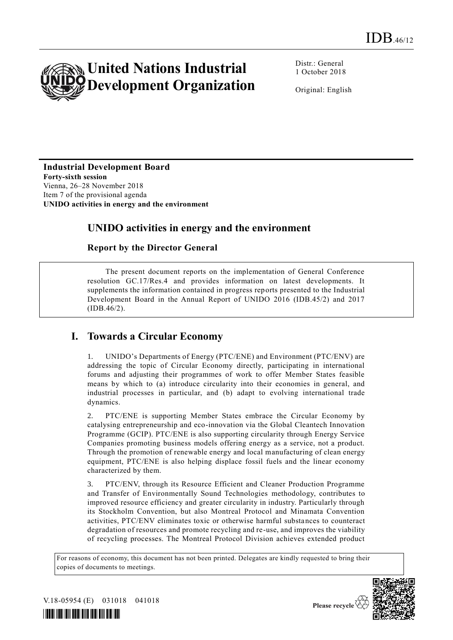

Distr.: General 1 October 2018

Original: English

#### **Industrial Development Board Forty-sixth session**

Vienna, 26–28 November 2018 Item 7 of the provisional agenda **UNIDO activities in energy and the environment**

# **UNIDO activities in energy and the environment**

#### **Report by the Director General**

The present document reports on the implementation of General Conference resolution GC.17/Res.4 and provides information on latest developments. It supplements the information contained in progress reports presented to the Industrial Development Board in the Annual Report of UNIDO 2016 (IDB.45/2) and 2017 (IDB.46/2).

# **I. Towards a Circular Economy**

1. UNIDO's Departments of Energy (PTC/ENE) and Environment (PTC/ENV) are addressing the topic of Circular Economy directly, participating in international forums and adjusting their programmes of work to offer Member States feasible means by which to (a) introduce circularity into their economies in general, and industrial processes in particular, and (b) adapt to evolving international trade dynamics.

2. PTC/ENE is supporting Member States embrace the Circular Economy by catalysing entrepreneurship and eco-innovation via the Global Cleantech Innovation Programme (GCIP). PTC/ENE is also supporting circularity through Energy Service Companies promoting business models offering energy as a service, not a product. Through the promotion of renewable energy and local manufacturing of clean energy equipment, PTC/ENE is also helping displace fossil fuels and the linear economy characterized by them.

3. PTC/ENV, through its Resource Efficient and Cleaner Production Programme and Transfer of Environmentally Sound Technologies methodology, contributes to improved resource efficiency and greater circularity in industry. Particularly through its Stockholm Convention, but also Montreal Protocol and Minamata Convention activities, PTC/ENV eliminates toxic or otherwise harmful substances to counteract degradation of resources and promote recycling and re-use, and improves the viability of recycling processes. The Montreal Protocol Division achieves extended product

For reasons of economy, this document has not been printed. Delegates are kindly requested to bring their copies of documents to meetings.



V.18-05954 (E) 031018 041018



Please recycle  $\check{\mathfrak{C}}$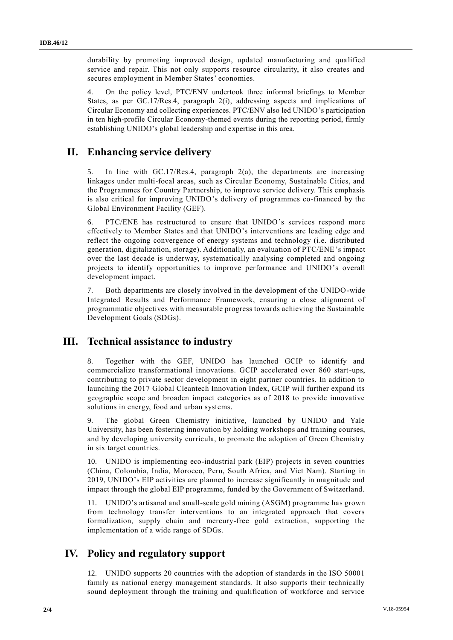durability by promoting improved design, updated manufacturing and qua lified service and repair. This not only supports resource circularity, it also creates and secures employment in Member States' economies.

4. On the policy level, PTC/ENV undertook three informal briefings to Member States, as per GC.17/Res.4, paragraph 2(i), addressing aspects and implications of Circular Economy and collecting experiences. PTC/ENV also led UNIDO's participation in ten high-profile Circular Economy-themed events during the reporting period, firmly establishing UNIDO's global leadership and expertise in this area.

### **II. Enhancing service delivery**

5. In line with GC.17/Res.4, paragraph 2(a), the departments are increasing linkages under multi-focal areas, such as Circular Economy, Sustainable Cities, and the Programmes for Country Partnership, to improve service delivery. This emphasis is also critical for improving UNIDO's delivery of programmes co-financed by the Global Environment Facility (GEF).

6. PTC/ENE has restructured to ensure that UNIDO's services respond more effectively to Member States and that UNIDO's interventions are leading edge and reflect the ongoing convergence of energy systems and technology (i.e. distributed generation, digitalization, storage). Additionally, an evaluation of PTC/ENE's impact over the last decade is underway, systematically analysing completed and ongoing projects to identify opportunities to improve performance and UNIDO's overall development impact.

7. Both departments are closely involved in the development of the UNIDO-wide Integrated Results and Performance Framework, ensuring a close alignment of programmatic objectives with measurable progress towards achieving the Sustainable Development Goals (SDGs).

### **III. Technical assistance to industry**

8. Together with the GEF, UNIDO has launched GCIP to identify and commercialize transformational innovations. GCIP accelerated over 860 start-ups, contributing to private sector development in eight partner countries. In addition to launching the 2017 Global Cleantech Innovation Index, GCIP will further expand its geographic scope and broaden impact categories as of 2018 to provide innovative solutions in energy, food and urban systems.

The global Green Chemistry initiative, launched by UNIDO and Yale University, has been fostering innovation by holding workshops and tra ining courses, and by developing university curricula, to promote the adoption of Green Chemistry in six target countries.

10. UNIDO is implementing eco-industrial park (EIP) projects in seven countries (China, Colombia, India, Morocco, Peru, South Africa, and Viet Nam). Starting in 2019, UNIDO's EIP activities are planned to increase significantly in magnitude and impact through the global EIP programme, funded by the Government of Switzerland.

11. UNIDO's artisanal and small-scale gold mining (ASGM) programme has grown from technology transfer interventions to an integrated approach that covers formalization, supply chain and mercury-free gold extraction, supporting the implementation of a wide range of SDGs.

### **IV. Policy and regulatory support**

12. UNIDO supports 20 countries with the adoption of standards in the ISO 50001 family as national energy management standards. It also supports their technically sound deployment through the training and qualification of workforce and service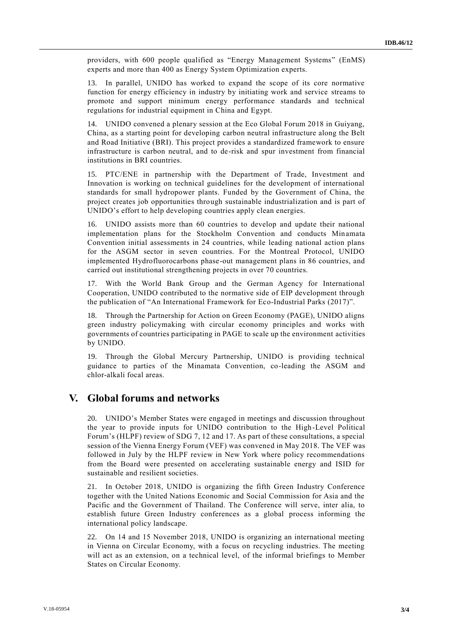providers, with 600 people qualified as "Energy Management Systems" (EnMS) experts and more than 400 as Energy System Optimization experts.

13. In parallel, UNIDO has worked to expand the scope of its core normative function for energy efficiency in industry by initiating work and service streams to promote and support minimum energy performance standards and technical regulations for industrial equipment in China and Egypt.

14. UNIDO convened a plenary session at the Eco Global Forum 2018 in Guiyang, China, as a starting point for developing carbon neutral infrastructure along the Belt and Road Initiative (BRI). This project provides a standardized framework to ensure infrastructure is carbon neutral, and to de-risk and spur investment from financial institutions in BRI countries.

15. PTC/ENE in partnership with the Department of Trade, Investment and Innovation is working on technical guidelines for the development of international standards for small hydropower plants. Funded by the Government of China, the project creates job opportunities through sustainable industrialization and is part of UNIDO's effort to help developing countries apply clean energies.

16. UNIDO assists more than 60 countries to develop and update their national implementation plans for the Stockholm Convention and conducts Minamata Convention initial assessments in 24 countries, while leading national action plans for the ASGM sector in seven countries. For the Montreal Protocol, UNIDO implemented Hydrofluorocarbons phase-out management plans in 86 countries, and carried out institutional strengthening projects in over 70 countries.

17. With the World Bank Group and the German Agency for International Cooperation, UNIDO contributed to the normative side of EIP development through the publication of "An International Framework for Eco-Industrial Parks (2017)".

18. Through the Partnership for Action on Green Economy (PAGE), UNIDO aligns green industry policymaking with circular economy principles and works with governments of countries participating in PAGE to scale up the environment activities by UNIDO.

19. Through the Global Mercury Partnership, UNIDO is providing technical guidance to parties of the Minamata Convention, co-leading the ASGM and chlor-alkali focal areas.

#### **V. Global forums and networks**

20. UNIDO's Member States were engaged in meetings and discussion throughout the year to provide inputs for UNIDO contribution to the High-Level Political Forum's (HLPF) review of SDG 7, 12 and 17. As part of these consultations, a special session of the Vienna Energy Forum (VEF) was convened in May 2018. The VEF was followed in July by the HLPF review in New York where policy recommendations from the Board were presented on accelerating sustainable energy and ISID for sustainable and resilient societies.

21. In October 2018, UNIDO is organizing the fifth Green Industry Conference together with the United Nations Economic and Social Commission for Asia and the Pacific and the Government of Thailand. The Conference will serve, inter alia, to establish future Green Industry conferences as a global process informing the international policy landscape.

22. On 14 and 15 November 2018, UNIDO is organizing an international meeting in Vienna on Circular Economy, with a focus on recycling industries. The meeting will act as an extension, on a technical level, of the informal briefings to Member States on Circular Economy.